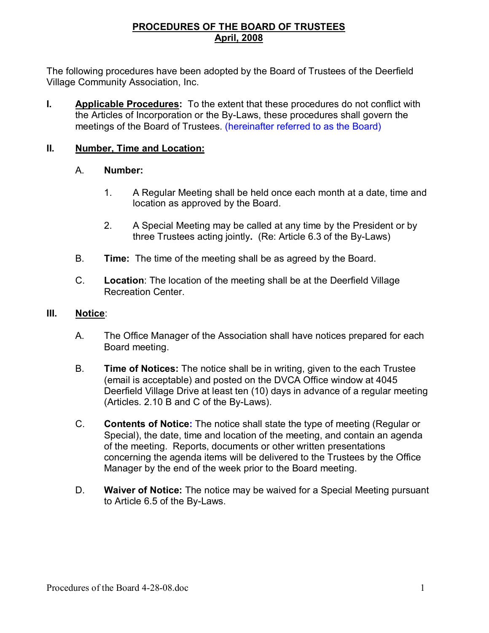## **PROCEDURES OF THE BOARD OF TRUSTEES April, 2008**

The following procedures have been adopted by the Board of Trustees of the Deerfield Village Community Association, Inc.

**I. Applicable Procedures:** To the extent that these procedures do not conflict with the Articles of Incorporation or the By-Laws, these procedures shall govern the meetings of the Board of Trustees. (hereinafter referred to as the Board)

### **II. Number, Time and Location:**

#### A. **Number:**

- 1. A Regular Meeting shall be held once each month at a date, time and location as approved by the Board.
- 2. A Special Meeting may be called at any time by the President or by three Trustees acting jointly**.** (Re: Article 6.3 of the By-Laws)
- B. **Time:** The time of the meeting shall be as agreed by the Board.
- C. **Location**: The location of the meeting shall be at the Deerfield Village Recreation Center.

#### **III. Notice**:

- A. The Office Manager of the Association shall have notices prepared for each Board meeting.
- B. **Time of Notices:** The notice shall be in writing, given to the each Trustee (email is acceptable) and posted on the DVCA Office window at 4045 Deerfield Village Drive at least ten (10) days in advance of a regular meeting (Articles. 2.10 B and C of the By-Laws).
- C. **Contents of Notice:** The notice shall state the type of meeting (Regular or Special), the date, time and location of the meeting, and contain an agenda of the meeting. Reports, documents or other written presentations concerning the agenda items will be delivered to the Trustees by the Office Manager by the end of the week prior to the Board meeting.
- D. **Waiver of Notice:** The notice may be waived for a Special Meeting pursuant to Article 6.5 of the By-Laws.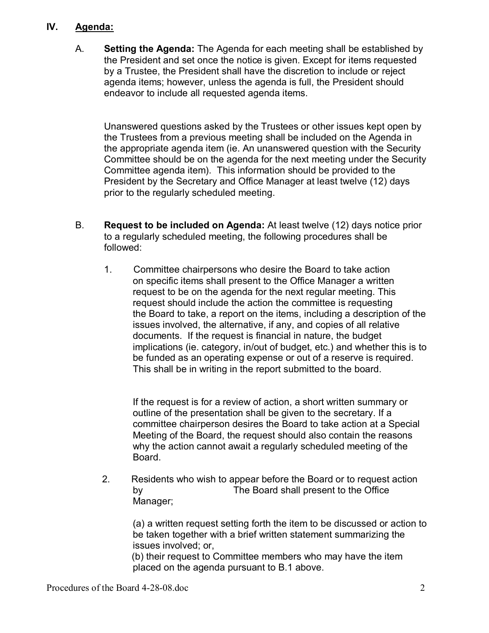## **IV. Agenda:**

A. **Setting the Agenda:** The Agenda for each meeting shall be established by the President and set once the notice is given. Except for items requested by a Trustee, the President shall have the discretion to include or reject agenda items; however, unless the agenda is full, the President should endeavor to include all requested agenda items.

Unanswered questions asked by the Trustees or other issues kept open by the Trustees from a previous meeting shall be included on the Agenda in the appropriate agenda item (ie. An unanswered question with the Security Committee should be on the agenda for the next meeting under the Security Committee agenda item). This information should be provided to the President by the Secretary and Office Manager at least twelve (12) days prior to the regularly scheduled meeting.

- B. **Request to be included on Agenda:** At least twelve (12) days notice prior to a regularly scheduled meeting, the following procedures shall be followed:
	- 1. Committee chairpersons who desire the Board to take action on specific items shall present to the Office Manager a written request to be on the agenda for the next regular meeting. This request should include the action the committee is requesting the Board to take, a report on the items, including a description of the issues involved, the alternative, if any, and copies of all relative documents. If the request is financial in nature, the budget implications (ie. category, in/out of budget, etc.) and whether this is to be funded as an operating expense or out of a reserve is required. This shall be in writing in the report submitted to the board.

If the request is for a review of action, a short written summary or outline of the presentation shall be given to the secretary. If a committee chairperson desires the Board to take action at a Special Meeting of the Board, the request should also contain the reasons why the action cannot await a regularly scheduled meeting of the Board.

 2. Residents who wish to appear before the Board or to request action by The Board shall present to the Office Manager;

(a) a written request setting forth the item to be discussed or action to be taken together with a brief written statement summarizing the issues involved; or,

 (b) their request to Committee members who may have the item placed on the agenda pursuant to B.1 above.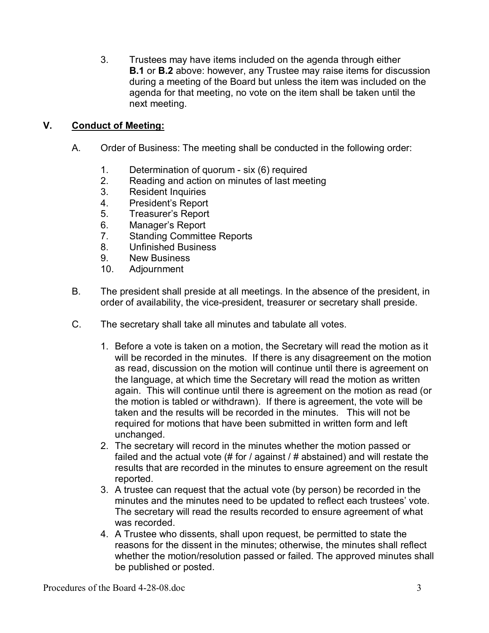3. Trustees may have items included on the agenda through either **B.1** or **B.2** above: however, any Trustee may raise items for discussion during a meeting of the Board but unless the item was included on the agenda for that meeting, no vote on the item shall be taken until the next meeting.

# **V. Conduct of Meeting:**

- A. Order of Business: The meeting shall be conducted in the following order:
	- 1. Determination of quorum six (6) required
	- 2. Reading and action on minutes of last meeting
	- 3. Resident Inquiries
	- 4. President's Report
	- 5. Treasurer's Report
	- 6. Manager's Report
	- 7. Standing Committee Reports
	- 8. Unfinished Business
	- 9. New Business
	- 10. Adjournment
- B. The president shall preside at all meetings. In the absence of the president, in order of availability, the vice-president, treasurer or secretary shall preside.
- C. The secretary shall take all minutes and tabulate all votes.
	- 1. Before a vote is taken on a motion, the Secretary will read the motion as it will be recorded in the minutes. If there is any disagreement on the motion as read, discussion on the motion will continue until there is agreement on the language, at which time the Secretary will read the motion as written again. This will continue until there is agreement on the motion as read (or the motion is tabled or withdrawn). If there is agreement, the vote will be taken and the results will be recorded in the minutes. This will not be required for motions that have been submitted in written form and left unchanged.
	- 2. The secretary will record in the minutes whether the motion passed or failed and the actual vote (# for / against / # abstained) and will restate the results that are recorded in the minutes to ensure agreement on the result reported.
	- 3. A trustee can request that the actual vote (by person) be recorded in the minutes and the minutes need to be updated to reflect each trustees' vote. The secretary will read the results recorded to ensure agreement of what was recorded.
	- 4. A Trustee who dissents, shall upon request, be permitted to state the reasons for the dissent in the minutes; otherwise, the minutes shall reflect whether the motion/resolution passed or failed. The approved minutes shall be published or posted.